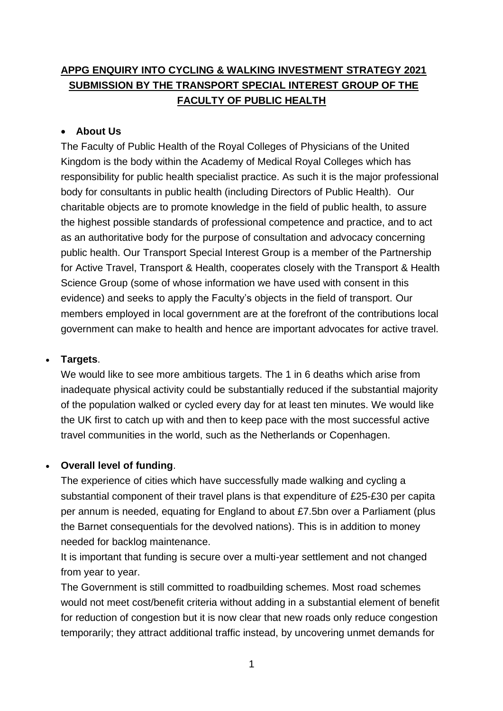# **APPG ENQUIRY INTO CYCLING & WALKING INVESTMENT STRATEGY 2021 SUBMISSION BY THE TRANSPORT SPECIAL INTEREST GROUP OF THE FACULTY OF PUBLIC HEALTH**

### • **About Us**

The Faculty of Public Health of the Royal Colleges of Physicians of the United Kingdom is the body within the Academy of Medical Royal Colleges which has responsibility for public health specialist practice. As such it is the major professional body for consultants in public health (including Directors of Public Health). Our charitable objects are to promote knowledge in the field of public health, to assure the highest possible standards of professional competence and practice, and to act as an authoritative body for the purpose of consultation and advocacy concerning public health. Our Transport Special Interest Group is a member of the Partnership for Active Travel, Transport & Health, cooperates closely with the Transport & Health Science Group (some of whose information we have used with consent in this evidence) and seeks to apply the Faculty's objects in the field of transport. Our members employed in local government are at the forefront of the contributions local government can make to health and hence are important advocates for active travel.

### • **Targets**.

We would like to see more ambitious targets. The 1 in 6 deaths which arise from inadequate physical activity could be substantially reduced if the substantial majority of the population walked or cycled every day for at least ten minutes. We would like the UK first to catch up with and then to keep pace with the most successful active travel communities in the world, such as the Netherlands or Copenhagen.

### • **Overall level of funding**.

The experience of cities which have successfully made walking and cycling a substantial component of their travel plans is that expenditure of £25-£30 per capita per annum is needed, equating for England to about £7.5bn over a Parliament (plus the Barnet consequentials for the devolved nations). This is in addition to money needed for backlog maintenance.

It is important that funding is secure over a multi-year settlement and not changed from year to year.

The Government is still committed to roadbuilding schemes. Most road schemes would not meet cost/benefit criteria without adding in a substantial element of benefit for reduction of congestion but it is now clear that new roads only reduce congestion temporarily; they attract additional traffic instead, by uncovering unmet demands for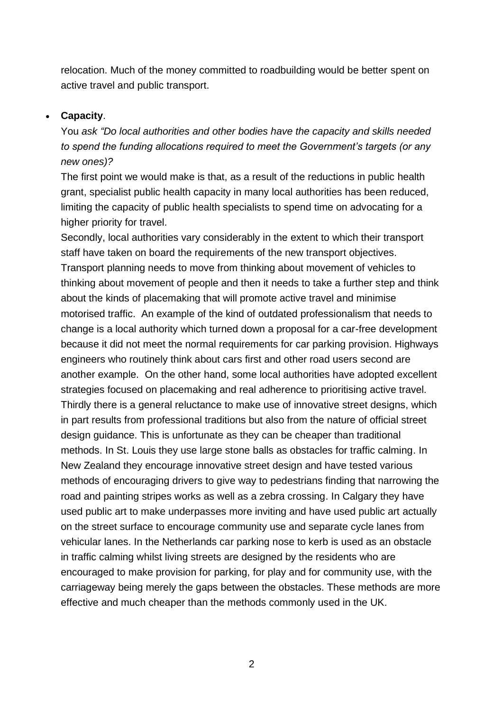relocation. Much of the money committed to roadbuilding would be better spent on active travel and public transport.

### • **Capacity**.

You *ask "Do local authorities and other bodies have the capacity and skills needed to spend the funding allocations required to meet the Government's targets (or any new ones)?* 

The first point we would make is that, as a result of the reductions in public health grant, specialist public health capacity in many local authorities has been reduced, limiting the capacity of public health specialists to spend time on advocating for a higher priority for travel.

Secondly, local authorities vary considerably in the extent to which their transport staff have taken on board the requirements of the new transport objectives. Transport planning needs to move from thinking about movement of vehicles to thinking about movement of people and then it needs to take a further step and think about the kinds of placemaking that will promote active travel and minimise motorised traffic. An example of the kind of outdated professionalism that needs to change is a local authority which turned down a proposal for a car-free development because it did not meet the normal requirements for car parking provision. Highways engineers who routinely think about cars first and other road users second are another example. On the other hand, some local authorities have adopted excellent strategies focused on placemaking and real adherence to prioritising active travel. Thirdly there is a general reluctance to make use of innovative street designs, which in part results from professional traditions but also from the nature of official street design guidance. This is unfortunate as they can be cheaper than traditional methods. In St. Louis they use large stone balls as obstacles for traffic calming. In New Zealand they encourage innovative street design and have tested various methods of encouraging drivers to give way to pedestrians finding that narrowing the road and painting stripes works as well as a zebra crossing. In Calgary they have used public art to make underpasses more inviting and have used public art actually on the street surface to encourage community use and separate cycle lanes from vehicular lanes. In the Netherlands car parking nose to kerb is used as an obstacle in traffic calming whilst living streets are designed by the residents who are encouraged to make provision for parking, for play and for community use, with the carriageway being merely the gaps between the obstacles. These methods are more effective and much cheaper than the methods commonly used in the UK.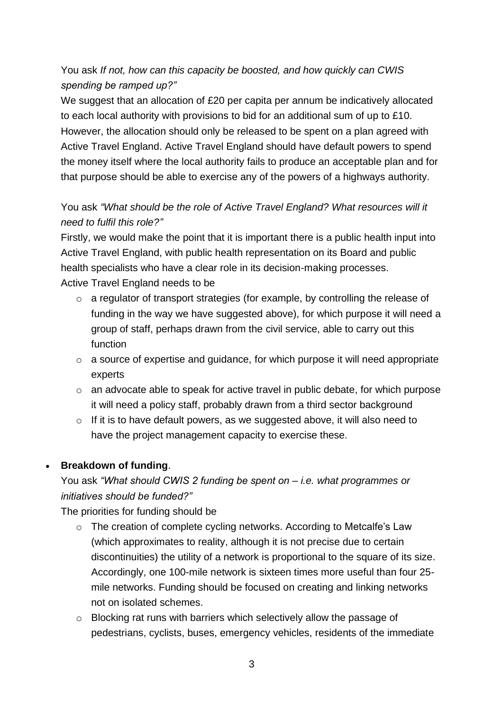# You ask *If not, how can this capacity be boosted, and how quickly can CWIS spending be ramped up?"*

We suggest that an allocation of £20 per capita per annum be indicatively allocated to each local authority with provisions to bid for an additional sum of up to £10. However, the allocation should only be released to be spent on a plan agreed with Active Travel England. Active Travel England should have default powers to spend the money itself where the local authority fails to produce an acceptable plan and for that purpose should be able to exercise any of the powers of a highways authority.

# You ask *"What should be the role of Active Travel England? What resources will it need to fulfil this role?"*

Firstly, we would make the point that it is important there is a public health input into Active Travel England, with public health representation on its Board and public health specialists who have a clear role in its decision-making processes. Active Travel England needs to be

- o a regulator of transport strategies (for example, by controlling the release of funding in the way we have suggested above), for which purpose it will need a group of staff, perhaps drawn from the civil service, able to carry out this function
- o a source of expertise and guidance, for which purpose it will need appropriate experts
- o an advocate able to speak for active travel in public debate, for which purpose it will need a policy staff, probably drawn from a third sector background
- o If it is to have default powers, as we suggested above, it will also need to have the project management capacity to exercise these.

## • **Breakdown of funding**.

You ask *"What should CWIS 2 funding be spent on – i.e. what programmes or initiatives should be funded?"*

The priorities for funding should be

- o The creation of complete cycling networks. According to Metcalfe's Law (which approximates to reality, although it is not precise due to certain discontinuities) the utility of a network is proportional to the square of its size. Accordingly, one 100-mile network is sixteen times more useful than four 25 mile networks. Funding should be focused on creating and linking networks not on isolated schemes.
- o Blocking rat runs with barriers which selectively allow the passage of pedestrians, cyclists, buses, emergency vehicles, residents of the immediate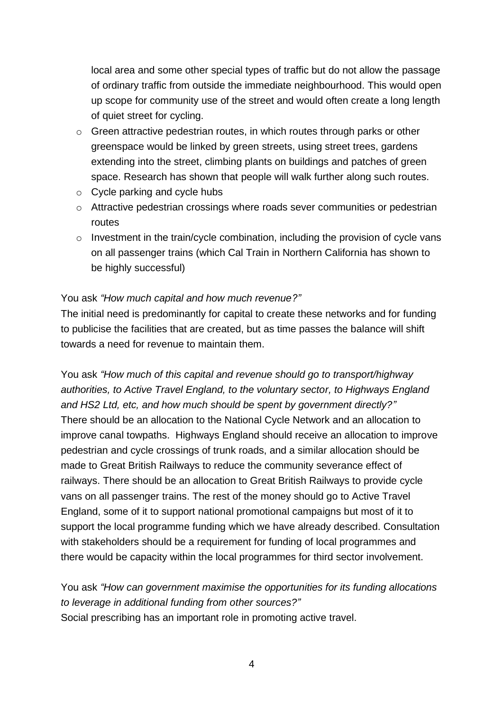local area and some other special types of traffic but do not allow the passage of ordinary traffic from outside the immediate neighbourhood. This would open up scope for community use of the street and would often create a long length of quiet street for cycling.

- o Green attractive pedestrian routes, in which routes through parks or other greenspace would be linked by green streets, using street trees, gardens extending into the street, climbing plants on buildings and patches of green space. Research has shown that people will walk further along such routes.
- o Cycle parking and cycle hubs
- o Attractive pedestrian crossings where roads sever communities or pedestrian routes
- o Investment in the train/cycle combination, including the provision of cycle vans on all passenger trains (which Cal Train in Northern California has shown to be highly successful)

## You ask *"How much capital and how much revenue?"*

The initial need is predominantly for capital to create these networks and for funding to publicise the facilities that are created, but as time passes the balance will shift towards a need for revenue to maintain them.

You ask *"How much of this capital and revenue should go to transport/highway authorities, to Active Travel England, to the voluntary sector, to Highways England and HS2 Ltd, etc, and how much should be spent by government directly?"* There should be an allocation to the National Cycle Network and an allocation to improve canal towpaths. Highways England should receive an allocation to improve pedestrian and cycle crossings of trunk roads, and a similar allocation should be made to Great British Railways to reduce the community severance effect of railways. There should be an allocation to Great British Railways to provide cycle vans on all passenger trains. The rest of the money should go to Active Travel England, some of it to support national promotional campaigns but most of it to support the local programme funding which we have already described. Consultation with stakeholders should be a requirement for funding of local programmes and there would be capacity within the local programmes for third sector involvement.

You ask *"How can government maximise the opportunities for its funding allocations to leverage in additional funding from other sources?"* Social prescribing has an important role in promoting active travel.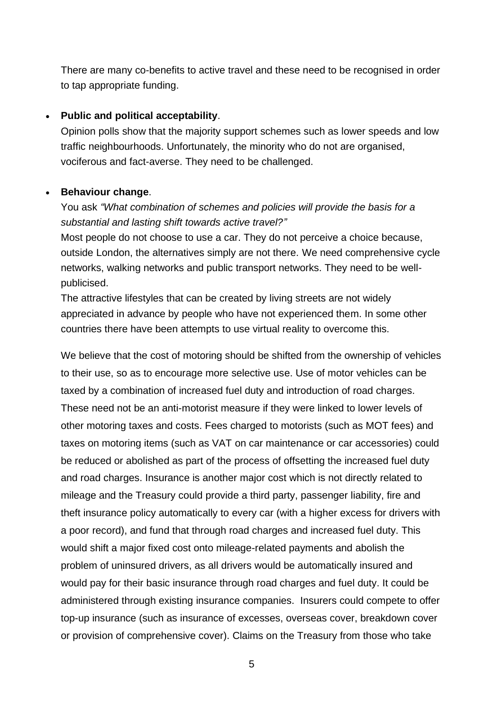There are many co-benefits to active travel and these need to be recognised in order to tap appropriate funding.

#### • **Public and political acceptability**.

Opinion polls show that the majority support schemes such as lower speeds and low traffic neighbourhoods. Unfortunately, the minority who do not are organised, vociferous and fact-averse. They need to be challenged.

#### • **Behaviour change**.

## You ask *"What combination of schemes and policies will provide the basis for a substantial and lasting shift towards active travel?"*

Most people do not choose to use a car. They do not perceive a choice because, outside London, the alternatives simply are not there. We need comprehensive cycle networks, walking networks and public transport networks. They need to be wellpublicised.

The attractive lifestyles that can be created by living streets are not widely appreciated in advance by people who have not experienced them. In some other countries there have been attempts to use virtual reality to overcome this.

We believe that the cost of motoring should be shifted from the ownership of vehicles to their use, so as to encourage more selective use. Use of motor vehicles can be taxed by a combination of increased fuel duty and introduction of road charges. These need not be an anti-motorist measure if they were linked to lower levels of other motoring taxes and costs. Fees charged to motorists (such as MOT fees) and taxes on motoring items (such as VAT on car maintenance or car accessories) could be reduced or abolished as part of the process of offsetting the increased fuel duty and road charges. Insurance is another major cost which is not directly related to mileage and the Treasury could provide a third party, passenger liability, fire and theft insurance policy automatically to every car (with a higher excess for drivers with a poor record), and fund that through road charges and increased fuel duty. This would shift a major fixed cost onto mileage-related payments and abolish the problem of uninsured drivers, as all drivers would be automatically insured and would pay for their basic insurance through road charges and fuel duty. It could be administered through existing insurance companies. Insurers could compete to offer top-up insurance (such as insurance of excesses, overseas cover, breakdown cover or provision of comprehensive cover). Claims on the Treasury from those who take

5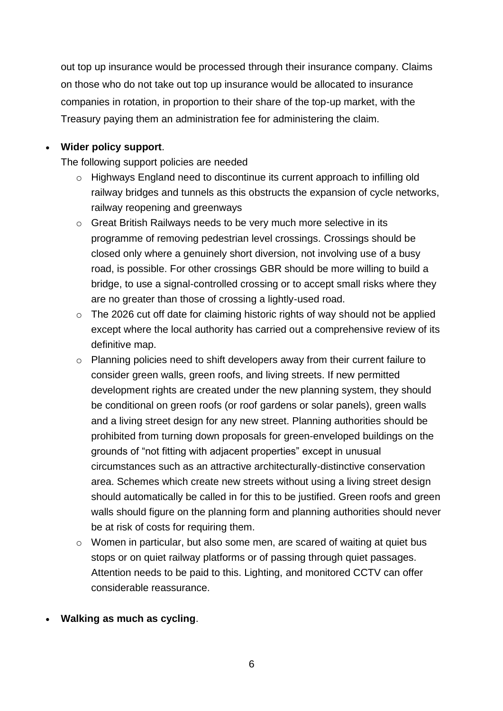out top up insurance would be processed through their insurance company. Claims on those who do not take out top up insurance would be allocated to insurance companies in rotation, in proportion to their share of the top-up market, with the Treasury paying them an administration fee for administering the claim.

## • **Wider policy support**.

The following support policies are needed

- o Highways England need to discontinue its current approach to infilling old railway bridges and tunnels as this obstructs the expansion of cycle networks, railway reopening and greenways
- o Great British Railways needs to be very much more selective in its programme of removing pedestrian level crossings. Crossings should be closed only where a genuinely short diversion, not involving use of a busy road, is possible. For other crossings GBR should be more willing to build a bridge, to use a signal-controlled crossing or to accept small risks where they are no greater than those of crossing a lightly-used road.
- o The 2026 cut off date for claiming historic rights of way should not be applied except where the local authority has carried out a comprehensive review of its definitive map.
- $\circ$  Planning policies need to shift developers away from their current failure to consider green walls, green roofs, and living streets. If new permitted development rights are created under the new planning system, they should be conditional on green roofs (or roof gardens or solar panels), green walls and a living street design for any new street. Planning authorities should be prohibited from turning down proposals for green-enveloped buildings on the grounds of "not fitting with adjacent properties" except in unusual circumstances such as an attractive architecturally-distinctive conservation area. Schemes which create new streets without using a living street design should automatically be called in for this to be justified. Green roofs and green walls should figure on the planning form and planning authorities should never be at risk of costs for requiring them.
- $\circ$  Women in particular, but also some men, are scared of waiting at quiet bus stops or on quiet railway platforms or of passing through quiet passages. Attention needs to be paid to this. Lighting, and monitored CCTV can offer considerable reassurance.
- **Walking as much as cycling**.